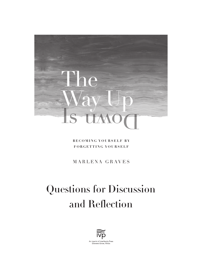

**BECOMING YOURSELF BY FORGETTING YOURSELF**

MARLENA GRAVES

# Questions for Discussion and Reflection

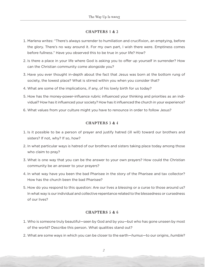### CHAPTERS 1 & 2

- 1. Marlena writes: "There's always surrender to humiliation and crucifixion, an emptying, before the glory. There's no way around it. For my own part, I wish there were. Emptiness comes before fullness." Have you observed this to be true in your life? How?
- 2. Is there a place in your life where God is asking you to offer up yourself in surrender? How can the Christian community come alongside you?
- 3. Have you ever thought in-depth about the fact that Jesus was born at the bottom rung of society, the lowest place? What is stirred within you when you consider that?
- 4. What are some of the implications, if any, of his lowly birth for us today?
- 5. How has the money-power-influence rubric influenced your thinking and priorities as an individual? How has it influenced your society? How has it influenced the church in your experience?
- 6. What values from your culture might you have to renounce in order to follow Jesus?

## CHAPTERS 3 & 4

- 1. Is it possible to be a person of prayer and justify hatred (ill will) toward our brothers and sisters? If not, why? If so, how?
- 2. In what particular ways is hatred of our brothers and sisters taking place today among those who claim to pray?
- 3. What is one way that you can be the answer to your own prayers? How could the Christian community be an answer to your prayers?
- 4. In what way have you been the bad Pharisee in the story of the Pharisee and tax collector? How has the church been the bad Pharisee?
- 5. How do you respond to this question: Are our lives a blessing or a curse to those around us? In what way is our individual and collective repentance related to the blessedness or cursedness of our lives?

## CHAPTERS 5 & 6

- 1. Who is someone truly beautiful—seen by God and by you—but who has gone unseen by most of the world? Describe this person. What qualities stand out?
- 2. What are some ways in which you can be closer to the earth—*humus*—to our origins, *humble*?